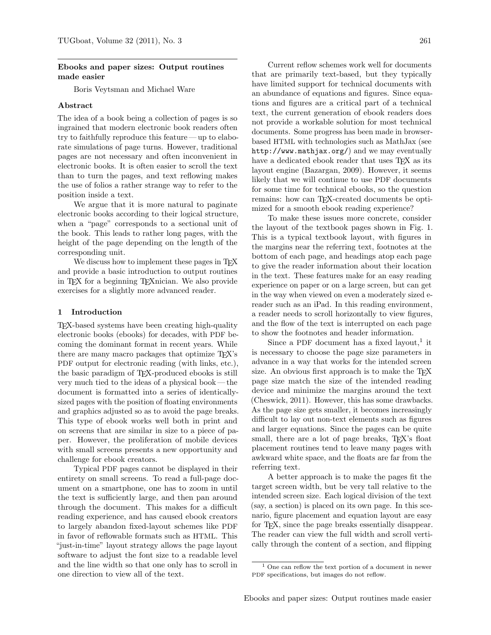# Ebooks and paper sizes: Output routines made easier

Boris Veytsman and Michael Ware

# Abstract

The idea of a book being a collection of pages is so ingrained that modern electronic book readers often try to faithfully reproduce this feature — up to elaborate simulations of page turns. However, traditional pages are not necessary and often inconvenient in electronic books. It is often easier to scroll the text than to turn the pages, and text reflowing makes the use of folios a rather strange way to refer to the position inside a text.

We argue that it is more natural to paginate electronic books according to their logical structure, when a "page" corresponds to a sectional unit of the book. This leads to rather long pages, with the height of the page depending on the length of the corresponding unit.

We discuss how to implement these pages in T<sub>F</sub>X and provide a basic introduction to output routines in TEX for a beginning TEXnician. We also provide exercises for a slightly more advanced reader.

# 1 Introduction

TEX-based systems have been creating high-quality electronic books (ebooks) for decades, with PDF becoming the dominant format in recent years. While there are many macro packages that optimize TEX's PDF output for electronic reading (with links, etc.), the basic paradigm of TEX-produced ebooks is still very much tied to the ideas of a physical book — the document is formatted into a series of identicallysized pages with the position of floating environments and graphics adjusted so as to avoid the page breaks. This type of ebook works well both in print and on screens that are similar in size to a piece of paper. However, the proliferation of mobile devices with small screens presents a new opportunity and challenge for ebook creators.

Typical PDF pages cannot be displayed in their entirety on small screens. To read a full-page document on a smartphone, one has to zoom in until the text is sufficiently large, and then pan around through the document. This makes for a difficult reading experience, and has caused ebook creators to largely abandon fixed-layout schemes like PDF in favor of reflowable formats such as HTML. This "just-in-time" layout strategy allows the page layout software to adjust the font size to a readable level and the line width so that one only has to scroll in one direction to view all of the text.

Current reflow schemes work well for documents that are primarily text-based, but they typically have limited support for technical documents with an abundance of equations and figures. Since equations and figures are a critical part of a technical text, the current generation of ebook readers does not provide a workable solution for most technical documents. Some progress has been made in browserbased HTML with technologies such as MathJax (see <http://www.mathjax.org/>) and we may eventually have a dedicated ebook reader that uses T<sub>F</sub>X as its layout engine [\(Bazargan, 2009\)](#page-4-0). However, it seems likely that we will continue to use PDF documents for some time for technical ebooks, so the question remains: how can TEX-created documents be optimized for a smooth ebook reading experience?

To make these issues more concrete, consider the layout of the textbook pages shown in Fig. [1.](#page-1-0) This is a typical textbook layout, with figures in the margins near the referring text, footnotes at the bottom of each page, and headings atop each page to give the reader information about their location in the text. These features make for an easy reading experience on paper or on a large screen, but can get in the way when viewed on even a moderately sized ereader such as an iPad. In this reading environment, a reader needs to scroll horizontally to view figures, and the flow of the text is interrupted on each page to show the footnotes and header information.

Since a PDF document has a fixed layout,<sup>[1](#page-0-0)</sup> it is necessary to choose the page size parameters in advance in a way that works for the intended screen size. An obvious first approach is to make the T<sub>EX</sub> page size match the size of the intended reading device and minimize the margins around the text [\(Cheswick, 2011\)](#page-4-1). However, this has some drawbacks. As the page size gets smaller, it becomes increasingly difficult to lay out non-text elements such as figures and larger equations. Since the pages can be quite small, there are a lot of page breaks, T<sub>EX</sub>'s float placement routines tend to leave many pages with awkward white space, and the floats are far from the referring text.

A better approach is to make the pages fit the target screen width, but be very tall relative to the intended screen size. Each logical division of the text (say, a section) is placed on its own page. In this scenario, figure placement and equation layout are easy for TEX, since the page breaks essentially disappear. The reader can view the full width and scroll vertically through the content of a section, and flipping

<span id="page-0-0"></span><sup>1</sup> One can reflow the text portion of a document in newer PDF specifications, but images do not reflow.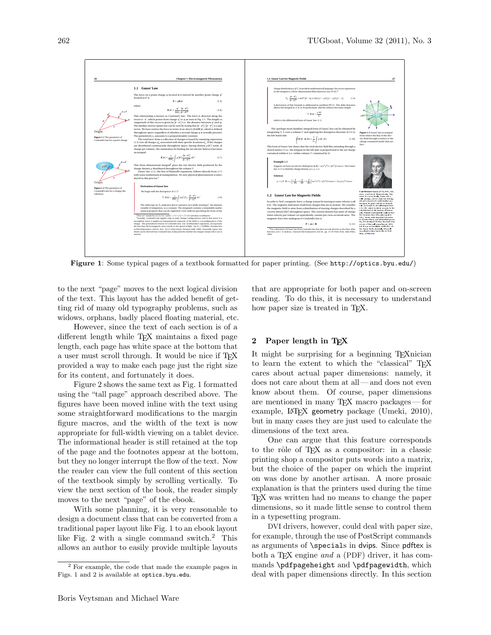

<span id="page-1-0"></span>Figure 1: Some typical pages of a textbook formatted for paper printing. (See <http://optics.byu.edu/>)

to the next "page" moves to the next logical division of the text. This layout has the added benefit of getting rid of many old typography problems, such as widows, orphans, badly placed floating material, etc.

However, since the text of each section is of a different length while T<sub>E</sub>X maintains a fixed page length, each page has white space at the bottom that a user must scroll through. It would be nice if T<sub>E</sub>X provided a way to make each page just the right size for its content, and fortunately it does.

Figure [2](#page-2-0) shows the same text as Fig. [1](#page-1-0) formatted using the "tall page" approach described above. The figures have been moved inline with the text using some straightforward modifications to the margin figure macros, and the width of the text is now appropriate for full-width viewing on a tablet device. The informational header is still retained at the top of the page and the footnotes appear at the bottom, but they no longer interrupt the flow of the text. Now the reader can view the full content of this section of the textbook simply by scrolling vertically. To view the next section of the book, the reader simply moves to the next "page" of the ebook.

With some planning, it is very reasonable to design a document class that can be converted from a traditional paper layout like Fig. [1](#page-1-0) to an ebook layout like Fig. [2](#page-2-0) with a single command switch.[2](#page-1-1) This allows an author to easily provide multiple layouts

that are appropriate for both paper and on-screen reading. To do this, it is necessary to understand how paper size is treated in T<sub>E</sub>X.

# 2 Paper length in T<sub>F</sub>X

It might be surprising for a beginning TEXnician to learn the extent to which the "classical" T<sub>EX</sub> cares about actual paper dimensions: namely, it does not care about them at all — and does not even know about them. Of course, paper dimensions are mentioned in many TEX macro packages— for example, L<sup>A</sup>TEX geometry package [\(Umeki, 2010\)](#page-4-2), but in many cases they are just used to calculate the dimensions of the text area.

One can argue that this feature corresponds to the rôle of TEX as a compositor: in a classic printing shop a compositor puts words into a matrix, but the choice of the paper on which the imprint on was done by another artisan. A more prosaic explanation is that the printers used during the time TEX was written had no means to change the paper dimensions, so it made little sense to control them in a typesetting program.

DVI drivers, however, could deal with paper size, for example, through the use of PostScript commands as arguments of \specials in dvips. Since pdftex is both a TEX engine and a (PDF) driver, it has commands \pdfpageheight and \pdfpagewidth, which deal with paper dimensions directly. In this section

<span id="page-1-1"></span><sup>2</sup> For example, the code that made the example pages in Figs. [1](#page-1-0) and [2](#page-2-0) is available at [optics.byu.edu](http://optics.byu.edu).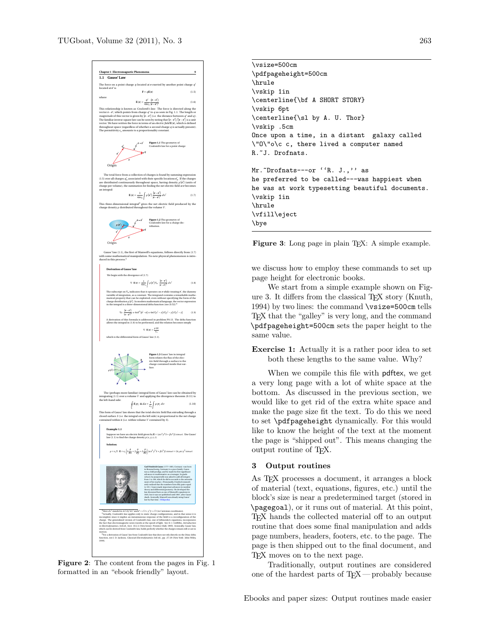**Chapter 1 Electromagnetic Phenomena 9 1.1 Gauss' Law** The force on a point charge *q* located at **r** exerted by another point charge *q* located at **r**  $\frac{1}{15}$  **(1.5)** where **E**(**r**) =  $\frac{q'}{4\pi\epsilon_0} \frac{(\mathbf{r} - \mathbf{r}')}{|\mathbf{r} - \mathbf{r}'|^3}$ (1.6) This relationship is known as *Coulomb's law*. The force is directed along the vector **r**−**r** 0, which points from charge *q*  $^\prime$  to  $q$  as seen in Fig. 1.1. The length or *magnitude* of this vector is given by **r** i. ¯**r**−**r**  $10$  $\vert$  (i.e. the distance between  $q'$  a and  $q$ ). The familiar inverse square law can be seen by noting that ¡**r**−**<sup>r</sup>**  $\frac{1}{\pi}$ ¯**r**−**r**  $^{\prime\prime}$ ¯ is a unit vector. We have written the force in terms of an *electric field* **E**(**r**), which is defined throughout space (regardless of whether a second charge *q* is actually present). The permittivity  $\epsilon_0$  amounts to a proportionality constant. Origin J. **Figure 1.1** The geometry of Coulomb's law for a point charge The total force from a collection of charges is found by summing expression  $(1.5)$  over all charges  $q'_n$  a  $\mathbf{r}'_n$  associated with their specific locations  $\mathbf{r}'_n$ . <sup>0</sup>*<sup>n</sup>* . If the charges are distributed continuously throughout space, having density *ρ* ¡**r**  $^{0}$ (units of charge per volume), the summation for finding the net electric field at **r** becomes an integral:  $\mathbf{E}(\mathbf{r}) = \frac{1}{4\pi}$ 1 4*π²*<sup>0</sup> Z *V ρ* ¡**r** n l ¡**r**−**<sup>r</sup>**  $\gamma$ |**r**−**r**  $\frac{1}{\sqrt{3}} dv'$  (1.7) This three-dimensional integral<sup>4</sup> gives the net electric field produced by the charge density *ρ* distributed throughout the volume *V* . P Origin **Figure 1.2** The geometry of Coulomb's law for a charge distribution. Gauss' law (1.1), the first of Maxwell's equations, follows directly from (1.7) with some mathematical manipulation. No new physical phenomenon is introduced in this process.<sup>5</sup> **Derivation of Gauss' law** We begin with the divergence of (1.7):  $\nabla \cdot \mathbf{E}(\mathbf{r}) = \frac{1}{4\pi\epsilon_0} \int_{V}^{\cdot} \rho(\mathbf{r}') \nabla_{\mathbf{r}} \cdot \frac{(\mathbf{r} - \mathbf{r}')}{|\mathbf{r} - \mathbf{r}'|^3}$ *V*  $\frac{1}{\sqrt{3}}$  *d v*<sup>1</sup> (1.8) The subscript on ∇**<sup>r</sup>** indicates that it operates on **r** while treating **r** 0, the dummy variable of integration, as a constant. The integrand contains a remarkable mathematical property that can be exploited, even without specifying the form of the charge distribution *ρ* ¡**r** 0¢ . In modern mathematical language, the vector expression in the integral is a three-dimensional delta function (see  $(0.52)$ :<sup>6</sup> ∇**r** · ¡**r**−**<sup>r</sup>** 0¢ |**r**−**r**  $rac{J}{\sqrt{3}}$  = 4*πδ*<sup>3</sup> (*i*) ¡**r** <sup>0</sup> −**r**  $=\frac{4\pi\delta}{x'-1}$ <sup>0</sup> − *x* ¢*δ* ¡*y* <sup>0</sup> − *y* ¢*δ* ¡*z* <sup>0</sup> − *z* ¢ (1.9) A derivation of this formula is addressed in problem P0.13. The delta function allows the integral in (1.8) to be performed, and the relation becomes simply  $\nabla \cdot \mathbf{E}(\mathbf{r}) = \frac{\rho(\mathbf{r})}{r}$ *²*<sup>0</sup> which is the differential form of Gauss' law (1.1). **Figure 1.3** Gauss' law in integral form relates the flux of the electric field through a surface to the charge contained inside that surface. The (perhaps more familiar) integral form of Gauss' law can be obtained by integrating (1.1) over a volume *V* and applying the divergence theorem (0.11) to the left-hand side:  $\Gamma$ *S* **E**(**r**) **n**<sup>*d*</sup> *d a* =  $\frac{1}{e_0} \int \rho$ (**r**) *dv* (1.10) *V* This form of Gauss' law shows that the total electric field flux extruding through a closed surface *S* (i.e. the integral on the left side) is proportional to the net charge contained within it (i.e. within volume *V* contained by *S*). **Example 1.1** Suppose we have an electric field given by  $\mathbf{E} = (\alpha x^2)$ <sup>2</sup> *y* <sup>3</sup>*x*<sup>ˆ</sup> <sup>+</sup>*β<sup>z</sup>* <sup>4</sup> *y*ˆ)cos*ωt*. Use Gauss' law (1.1) to find the charge density *ρ*(*x*, *y*, *z*,*t*). **Solution:**  $\rho = e_0 \nabla \cdot \mathbf{E} = e_0 \left( \dot{x} \frac{\partial}{\partial x} + \dot{y} \frac{\partial}{\partial y} + \dot{z} \frac{\partial}{\partial z} \right) (\alpha x^2 y^3 \dot{x} + \beta z^4 \dot{y}$ <sup>4</sup> *<sup>y</sup>*ˆ)cos*ω<sup>t</sup>* <sup>=</sup> <sup>2</sup>*²*0*αx y*<sup>3</sup> cos*ω<sup>t</sup>* **Carl Friedrich Gauss** (1777–1855, German) was born in Braunschweig, Germany to a poor family. Gauss was a child prodigy, and he made his first significant advances to mathematics as a teenager. In grade school, he purportedly was asked to add all integers from 1 to 100, which he did in seconds to the astonishment of his teacher. (Presumably, Friedrich immediately realized that the numbers form fifty pairs equal to 101.) Gauss made important advances in number theory and differential geometry. He developed the law discussed here as one of Maxwell's equations in 1835, but it was not published until 1867, after Gauss' death. Ironically, Maxwell was already using Gauss' law by that time. (Wikipedia) <sup>4</sup>Here  $dv'$  stands for  $dx'dy'dz'$  and **r**<sup> $\prime$ </sup> <sup>0</sup> = *x* <sup>0</sup>*x*ˆ + *y* <sup>0</sup>*y*ˆ + *z* 2<sup>2</sup> (in Cartesian coordinates). <sup>5</sup>Actually, Coulomb's law applies only to static charge configurations, and in that sense it is incomplete since it implies an instantaneous response of the field to a reconfiguration of the charge. The generalized version of Coulomb's law, one of Jefimenko's equations, incorporates the fact that electromagnetic news travels at the speed of light. See D. J. Griffiths, *Introduction to Electrodynamics*, 3rd ed., Sect. 10.2.2 (New Jersey: Prentice-Hall, 1999). Ironically, Gauss' law, which can be derived from Coulomb's law, holds perfectly whether the charges remain still or are in motion. <sup>6</sup>For a derivation of Gauss' law from Coulomb's law that does not rely directly on the Dirac delta function, see J. D. Jackson, *Classical Electrodynamics* 3rd ed., pp. 27-29 (New York: John Wiley, 1999).

<span id="page-2-0"></span>Figure 2: The content from the pages in Fig. [1](#page-1-0) formatted in an "ebook friendly" layout.

```
\vsize=500cm
\pdfpageheight=500cm
\hrule
\vskip 1in
\centerline{\bf A SHORT STORY}
\vskip 6pt
\centerline{\sl by A. U. Thor}
\vskip .5cm
Once upon a time, in a distant galaxy called
\"O\"o\c c, there lived a computer named
R.~J. Drofnats.
Mr. Drofnats---or ''R. J.,'' as
he preferred to be called---was happiest when
he was at work typesetting beautiful documents.
\vskip 1in
\hrule
\vfill\eject
\bye
```
<span id="page-2-1"></span>Figure 3: Long page in plain TEX: A simple example.

we discuss how to employ these commands to set up page height for electronic books.

We start from a simple example shown on Fig-ure [3.](#page-2-1) It differs from the classical T<sub>EX</sub> story [\(Knuth,](#page-4-3) [1994\)](#page-4-3) by two lines: the command \vsize=500cm tells TEX that the "galley" is very long, and the command \pdfpageheight=500cm sets the paper height to the same value.

Exercise 1: Actually it is a rather poor idea to set both these lengths to the same value. Why?

When we compile this file with pdftex, we get a very long page with a lot of white space at the bottom. As discussed in the previous section, we would like to get rid of the extra white space and make the page size fit the text. To do this we need to set \pdfpageheight dynamically. For this would like to know the height of the text at the moment the page is "shipped out". This means changing the output routine of TEX.

### 3 Output routines

As TEX processes a document, it arranges a block of material (text, equations, figures, etc.) until the block's size is near a predetermined target (stored in \pagegoal), or it runs out of material. At this point, TEX hands the collected material off to an output routine that does some final manipulation and adds page numbers, headers, footers, etc. to the page. The page is then shipped out to the final document, and TEX moves on to the next page.

Traditionally, output routines are considered one of the hardest parts of  $T_FX$  — probably because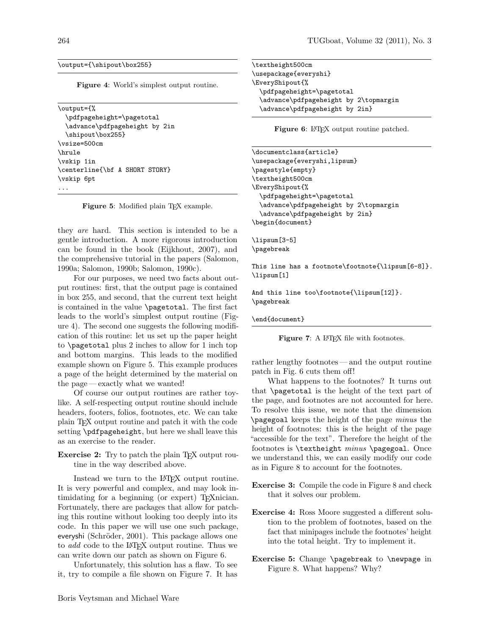#### \output={\shipout\box255}

<span id="page-3-0"></span>Figure 4: World's simplest output routine.

\output={% \pdfpageheight=\pagetotal \advance\pdfpageheight by 2in \shipout\box255} \vsize=500cm \hrule \vskip 1in \centerline{\bf A SHORT STORY} \vskip 6pt ...

<span id="page-3-1"></span>Figure 5: Modified plain TEX example.

they are hard. This section is intended to be a gentle introduction. A more rigorous introduction can be found in the book [\(Eijkhout, 2007\)](#page-4-4), and the comprehensive tutorial in the papers [\(Salomon,](#page-4-5) [1990a;](#page-4-5) [Salomon, 1990b;](#page-4-6) [Salomon, 1990c\)](#page-4-7).

For our purposes, we need two facts about output routines: first, that the output page is contained in box 255, and second, that the current text height is contained in the value \pagetotal. The first fact leads to the world's simplest output routine (Figure [4\)](#page-3-0). The second one suggests the following modification of this routine: let us set up the paper height to \pagetotal plus 2 inches to allow for 1 inch top and bottom margins. This leads to the modified example shown on Figure [5.](#page-3-1) This example produces a page of the height determined by the material on the page — exactly what we wanted!

Of course our output routines are rather toylike. A self-respecting output routine should include headers, footers, folios, footnotes, etc. We can take plain TEX output routine and patch it with the code setting \pdfpageheight, but here we shall leave this as an exercise to the reader.

Exercise 2: Try to patch the plain T<sub>F</sub>X output routine in the way described above.

Instead we turn to the LAT<sub>EX</sub> output routine. It is very powerful and complex, and may look intimidating for a beginning (or expert) T<sub>E</sub>Xnician. Fortunately, there are packages that allow for patching this routine without looking too deeply into its code. In this paper we will use one such package, everyshi (Schröder, 2001). This package allows one to *add* code to the LAT<sub>F</sub>X output routine. Thus we can write down our patch as shown on Figure [6.](#page-3-2)

Unfortunately, this solution has a flaw. To see it, try to compile a file shown on Figure [7.](#page-3-3) It has \textheight500cm \usepackage{everyshi} \EveryShipout{% \pdfpageheight=\pagetotal \advance\pdfpageheight by 2\topmargin \advance\pdfpageheight by 2in}

<span id="page-3-2"></span>Figure 6: LAT<sub>EX</sub> output routine patched.

\documentclass{article} \usepackage{everyshi,lipsum} \pagestyle{empty} \textheight500cm \EveryShipout{% \pdfpageheight=\pagetotal \advance\pdfpageheight by 2\topmargin \advance\pdfpageheight by 2in} \begin{document} \lipsum[3-5] \pagebreak This line has a footnote\footnote{\lipsum[6-8]}. \lipsum[1] And this line too\footnote{\lipsum[12]}. \pagebreak \end{document}

<span id="page-3-3"></span>Figure 7: A IATEX file with footnotes.

rather lengthy footnotes— and the output routine patch in Fig. [6](#page-3-2) cuts them off!

What happens to the footnotes? It turns out that \pagetotal is the height of the text part of the page, and footnotes are not accounted for here. To resolve this issue, we note that the dimension \pagegoal keeps the height of the page minus the height of footnotes: this is the height of the page "accessible for the text". Therefore the height of the footnotes is \textheight minus \pagegoal. Once we understand this, we can easily modify our code as in Figure [8](#page-4-9) to account for the footnotes.

Exercise 3: Compile the code in Figure [8](#page-4-9) and check that it solves our problem.

- Exercise 4: Ross Moore suggested a different solution to the problem of footnotes, based on the fact that minipages include the footnotes' height into the total height. Try to implement it.
- Exercise 5: Change \pagebreak to \newpage in Figure [8.](#page-4-9) What happens? Why?